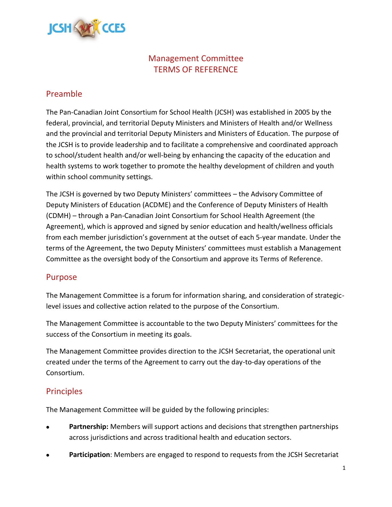

# Management Committee TERMS OF REFERENCE

## Preamble

The Pan-Canadian Joint Consortium for School Health (JCSH) was established in 2005 by the federal, provincial, and territorial Deputy Ministers and Ministers of Health and/or Wellness and the provincial and territorial Deputy Ministers and Ministers of Education. The purpose of the JCSH is to provide leadership and to facilitate a comprehensive and coordinated approach to school/student health and/or well-being by enhancing the capacity of the education and health systems to work together to promote the healthy development of children and youth within school community settings.

The JCSH is governed by two Deputy Ministers' committees – the Advisory Committee of Deputy Ministers of Education (ACDME) and the Conference of Deputy Ministers of Health (CDMH) – through a Pan-Canadian Joint Consortium for School Health Agreement (the Agreement), which is approved and signed by senior education and health/wellness officials from each member jurisdiction's government at the outset of each 5-year mandate. Under the terms of the Agreement, the two Deputy Ministers' committees must establish a Management Committee as the oversight body of the Consortium and approve its Terms of Reference.

### Purpose

The Management Committee is a forum for information sharing, and consideration of strategiclevel issues and collective action related to the purpose of the Consortium.

The Management Committee is accountable to the two Deputy Ministers' committees for the success of the Consortium in meeting its goals.

The Management Committee provides direction to the JCSH Secretariat, the operational unit created under the terms of the Agreement to carry out the day-to-day operations of the Consortium.

## **Principles**

The Management Committee will be guided by the following principles:

- **Partnership:** Members will support actions and decisions that strengthen partnerships across jurisdictions and across traditional health and education sectors.
- **Participation**: Members are engaged to respond to requests from the JCSH Secretariat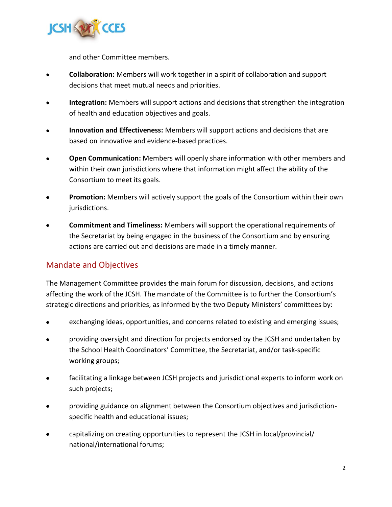

and other Committee members.

- **Collaboration:** Members will work together in a spirit of collaboration and support decisions that meet mutual needs and priorities.
- **Integration:** Members will support actions and decisions that strengthen the integration of health and education objectives and goals.
- **Innovation and Effectiveness:** Members will support actions and decisions that are based on innovative and evidence-based practices.
- **Open Communication:** Members will openly share information with other members and within their own jurisdictions where that information might affect the ability of the Consortium to meet its goals.
- **Promotion:** Members will actively support the goals of the Consortium within their own jurisdictions.
- **Commitment and Timeliness:** Members will support the operational requirements of the Secretariat by being engaged in the business of the Consortium and by ensuring actions are carried out and decisions are made in a timely manner.

# Mandate and Objectives

The Management Committee provides the main forum for discussion, decisions, and actions affecting the work of the JCSH. The mandate of the Committee is to further the Consortium's strategic directions and priorities, as informed by the two Deputy Ministers' committees by:

- exchanging ideas, opportunities, and concerns related to existing and emerging issues;
- providing oversight and direction for projects endorsed by the JCSH and undertaken by the School Health Coordinators' Committee, the Secretariat, and/or task-specific working groups;
- facilitating a linkage between JCSH projects and jurisdictional experts to inform work on such projects;
- providing guidance on alignment between the Consortium objectives and jurisdictionspecific health and educational issues;
- capitalizing on creating opportunities to represent the JCSH in local/provincial/ national/international forums;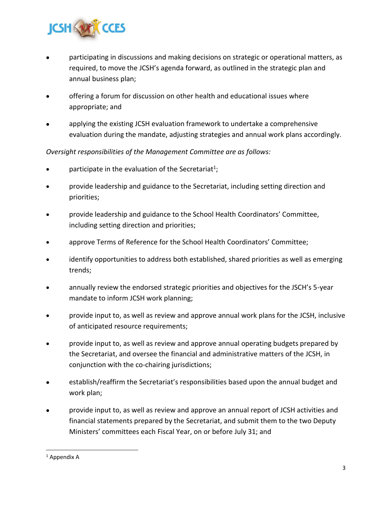

- participating in discussions and making decisions on strategic or operational matters, as required, to move the JCSH's agenda forward, as outlined in the strategic plan and annual business plan;
- offering a forum for discussion on other health and educational issues where appropriate; and
- applying the existing JCSH evaluation framework to undertake a comprehensive evaluation during the mandate, adjusting strategies and annual work plans accordingly.

#### *Oversight responsibilities of the Management Committee are as follows:*

- participate in the evaluation of the Secretariat<sup>1</sup>;
- provide leadership and guidance to the Secretariat, including setting direction and priorities;
- provide leadership and guidance to the School Health Coordinators' Committee, including setting direction and priorities;
- approve Terms of Reference for the School Health Coordinators' Committee;
- identify opportunities to address both established, shared priorities as well as emerging trends;
- annually review the endorsed strategic priorities and objectives for the JSCH's 5-year mandate to inform JCSH work planning;
- provide input to, as well as review and approve annual work plans for the JCSH, inclusive of anticipated resource requirements;
- provide input to, as well as review and approve annual operating budgets prepared by the Secretariat, and oversee the financial and administrative matters of the JCSH, in conjunction with the co-chairing jurisdictions;
- establish/reaffirm the Secretariat's responsibilities based upon the annual budget and work plan;
- provide input to, as well as review and approve an annual report of JCSH activities and financial statements prepared by the Secretariat, and submit them to the two Deputy Ministers' committees each Fiscal Year, on or before July 31; and

<sup>&</sup>lt;sup>1</sup> Appendix A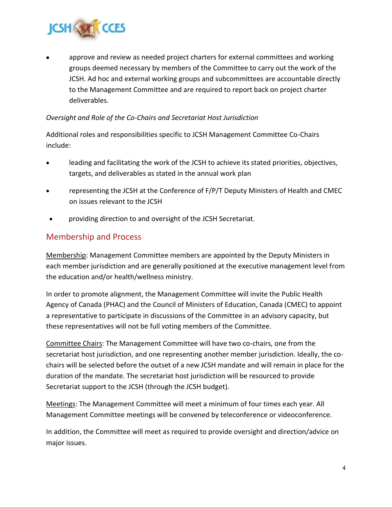

• approve and review as needed project charters for external committees and working groups deemed necessary by members of the Committee to carry out the work of the JCSH. Ad hoc and external working groups and subcommittees are accountable directly to the Management Committee and are required to report back on project charter deliverables.

#### *Oversight and Role of the Co-Chairs and Secretariat Host Jurisdiction*

Additional roles and responsibilities specific to JCSH Management Committee Co-Chairs include:

- leading and facilitating the work of the JCSH to achieve its stated priorities, objectives, targets, and deliverables as stated in the annual work plan
- representing the JCSH at the Conference of F/P/T Deputy Ministers of Health and CMEC on issues relevant to the JCSH
- providing direction to and oversight of the JCSH Secretariat.

## Membership and Process

Membership: Management Committee members are appointed by the Deputy Ministers in each member jurisdiction and are generally positioned at the executive management level from the education and/or health/wellness ministry.

In order to promote alignment, the Management Committee will invite the Public Health Agency of Canada (PHAC) and the Council of Ministers of Education, Canada (CMEC) to appoint a representative to participate in discussions of the Committee in an advisory capacity, but these representatives will not be full voting members of the Committee.

Committee Chairs: The Management Committee will have two co-chairs, one from the secretariat host jurisdiction, and one representing another member jurisdiction. Ideally, the cochairs will be selected before the outset of a new JCSH mandate and will remain in place for the duration of the mandate. The secretariat host jurisdiction will be resourced to provide Secretariat support to the JCSH (through the JCSH budget).

Meetings: The Management Committee will meet a minimum of four times each year. All Management Committee meetings will be convened by teleconference or videoconference.

In addition, the Committee will meet as required to provide oversight and direction/advice on major issues.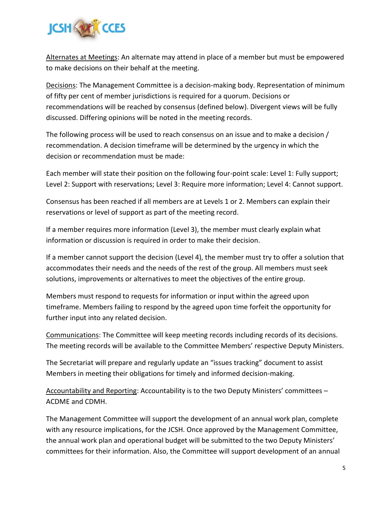

Alternates at Meetings: An alternate may attend in place of a member but must be empowered to make decisions on their behalf at the meeting.

Decisions: The Management Committee is a decision-making body. Representation of minimum of fifty per cent of member jurisdictions is required for a quorum. Decisions or recommendations will be reached by consensus (defined below). Divergent views will be fully discussed. Differing opinions will be noted in the meeting records.

The following process will be used to reach consensus on an issue and to make a decision / recommendation. A decision timeframe will be determined by the urgency in which the decision or recommendation must be made:

Each member will state their position on the following four-point scale: Level 1: Fully support; Level 2: Support with reservations; Level 3: Require more information; Level 4: Cannot support.

Consensus has been reached if all members are at Levels 1 or 2. Members can explain their reservations or level of support as part of the meeting record.

If a member requires more information (Level 3), the member must clearly explain what information or discussion is required in order to make their decision.

If a member cannot support the decision (Level 4), the member must try to offer a solution that accommodates their needs and the needs of the rest of the group. All members must seek solutions, improvements or alternatives to meet the objectives of the entire group.

Members must respond to requests for information or input within the agreed upon timeframe. Members failing to respond by the agreed upon time forfeit the opportunity for further input into any related decision.

Communications: The Committee will keep meeting records including records of its decisions. The meeting records will be available to the Committee Members' respective Deputy Ministers.

The Secretariat will prepare and regularly update an "issues tracking" document to assist Members in meeting their obligations for timely and informed decision-making.

Accountability and Reporting: Accountability is to the two Deputy Ministers' committees – ACDME and CDMH.

The Management Committee will support the development of an annual work plan, complete with any resource implications, for the JCSH. Once approved by the Management Committee, the annual work plan and operational budget will be submitted to the two Deputy Ministers' committees for their information. Also, the Committee will support development of an annual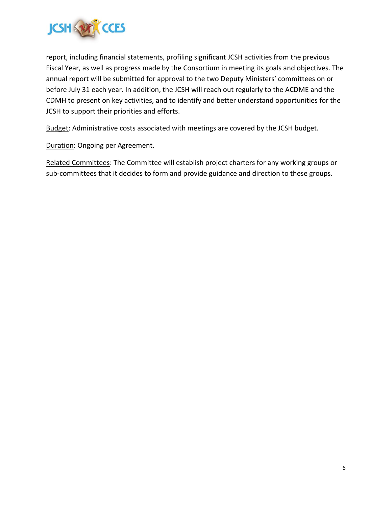

report, including financial statements, profiling significant JCSH activities from the previous Fiscal Year, as well as progress made by the Consortium in meeting its goals and objectives. The annual report will be submitted for approval to the two Deputy Ministers' committees on or before July 31 each year. In addition, the JCSH will reach out regularly to the ACDME and the CDMH to present on key activities, and to identify and better understand opportunities for the JCSH to support their priorities and efforts.

Budget: Administrative costs associated with meetings are covered by the JCSH budget.

Duration: Ongoing per Agreement.

Related Committees: The Committee will establish project charters for any working groups or sub-committees that it decides to form and provide guidance and direction to these groups.